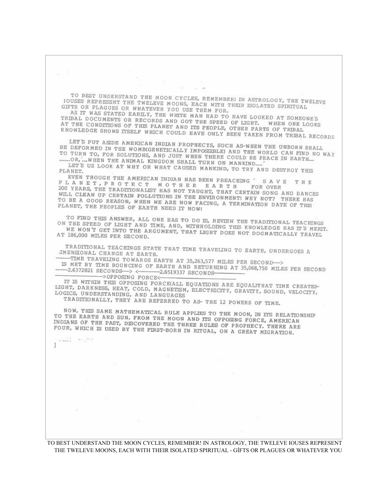**COL**  $\sim$   $\sim$ 14. 19. TO BEST UNDERSTAND THE MOON CYCLES, REMEMBERI IN ASTROLOGY, THE TWELEVE OUSES REPRESENT THE TWELEVE MOONS, RACH WITH THETH TO THE TWELEVE TOUSES REPRESENT THE TWELEVE MOON CYCLES, REMEMBERI IN ASTROLOGY, THE TWOUSES REPRESENT THE TWELEVE MOONS, EACH WITH THEIR ISOLATED SPIRITUAL GIFTS OR PLAGGIES OR WHATEVER YOU USE THEM FOR. AS IT WAS STATED EARLY, THE WHITE MAN HAD TO HAVE LOOKED AT SOMEONE'S<br>RIBAL DOCUMENTS OR RECORDS AND GOT THE SPEED OF LIGHT ON AT SOMEONE'S TRIBAL DOCUMENTS OR RECORDS AND GOT THE MAN HAD TO HAVE LOOKED AT SOMEONE'S<br>AT THE CONDITIONS OF RECORDS AND GOT THE SPEED OF LIGHT. WHEN ONE LOOKS AT THE CONDITIONS OF THIS PLANET AND GOT THE SPEED OF LIGHT. WHEN ONE I<br>KNOWLEDGE SHOWS ITSELF WHICH COULD HAVE ONLY OTHER PARTS OF TRIBAL KNOWLEDGE SHOWS ITSELF WHICH COULD HAVE ONLY BEEN TAKEN FROM TRIBAL RECORDS LET'S PUT ASIDE AMERICAN INDIAN PROPHECYS, SUCH AS-WHEN THE UNBORN SHALL DEFORMED IN THE WOMBIGENETICALLY IMPOCITION BE DEFORMED IN THE WOMB(GENETICALLY IMPOSSIBLE) AND THE WORLD CAN FIND NO WAY TO TURN TO, FOR SOLUTIONS, AND JUST WHEN THERE COULD ERRORED CAN FIND NO WAY TO TURN TO, FOR SOLUTIONS, AND JUST WHEN THE RORLD CAN FIND N<br>......OR, ... WHEN THE ANIMAL AND JUST WHEN THERE COULD BE PEACE IN EARTH... LET'S US LOOK AT WHY OR WHAT CAUSED MANKIND, TO TRY AND DESTROY THIS PLANET. EVEN THOUGH THE AMERICAN INDIAN HAS BEEN PREACHING PLANET, PROTECT MOTHER EARTH FOR OVER<br>200 YEARS, THE TRADITIONALITY MOTHER EARTH FOR OVER SAVE THE 200 YEARS, THE TRADITIONALIST HAS NOT HE R E A R T H FOR OVER<br>WILL CLEAN UP CERTAIN POLLUTIONS IN THE BAUGHT, THAT CERTAIN SONG AND DANCES WILL CLEAN UP CERTAIN POLLUTIONS IN THE ENVIRONMENT! WHY NOT? THERE HAS TO BE A GOOD REASON. WHEN WE ARE NOTED THE ENVIRONMENT! WHY NOT? THERE HAS TO BE A GOOD REACHAIN POLLUTIONS IN THE ENVIRONMENT! WHY NOT? THERE HAS<br>PLANET, THE PEOPLES OF EARTH NER NOW FACING, A TERMINATION DATE OF THIS PLANET, THE PEOPLES OF EARTH NEED IT NOW! TO FIND THIS ANSWER, ALL ONE HAS TO DO IS, REVIEW THE TRADITIONAL TEACHINGS ON THE SPEED OF LIGHT AND UNE HAS TO DO IS, REVIEW THE TRADITIONAL TEACHINGS<br>WE WON'T GET INTO THE AROUMENT WITH LOUR LIGHT AND WE WON'T GET INTO THE ARCHIMENT WITH LOURS WE WON'T GET INTO THE ARCUMENT, THAT LIGHT DOES NOT DOGMATICALLY TRAVEL 186,000 MILES PER SECOND. AT 186,000 MILES PER SECOND. TRADITIONAL TEACHINGS STATE THAT TIME TRAVELING TO EARTH, UNDERGOES A IMENSIONAL CHANGE AT BARTH. -TIME TRAVELING TOWARDS EARTH AT 35,263,577 MILES PER SECOND->  $-2.6372821$  SECONDS  $\rightarrow \leftarrow$  2.6519337 SECONDS ->OPPOSING FORCE<-IT IS WITHIN THIS OPPOSING FORCE(ALL EQUATIONS ARE EQUAL)THAT TIME CREATES-<br>GHT, DARKNESS, HEAT, COLD, MAGNETICM FLECTRICING CRAINING TIME CREATES-LIGHT, DARKNESS, HEAT, COLD, MAGNETISM, ELECTRICITY, GRAVITY, SOUND, VELOCITY, LOGICS, UNDERSTANDING, AND LANGITATES LOGICS, UNDERSTANDING, AND LANGUAGES<br>TRADITIONALLY, THEY ARE REFERRED TO AS-THE 12 POWERS OF TIME. NOW, THIS SAME MATHEMATICAL RULE APPLIES TO THE MOON, IN ITS RELATIONSHIP TO THE EARTH AND SUN. FROM THE MOON AND THE MOON, IN ITS RELATION<br>INDIANS OF THE PAST, DECOURDED THE MOON AND THE OPPOSING FORCE, AMERICAN INDIANS OF THE PAST, DISCOVERED THE MOON AND ITS OPPOSING FORCE, AMERICAN<br>FOUR, WHICH IS USED BY THE FORM DODN'T REE RULES OF PROPHECY, THERE ARE FOUR, WHICH IS USED BY THE FIRST-BORN IN RITUAL, ON A GREAT MIGRATION. Senator Reserves q.

TO BEST UNDERSTAND THE MOON CYCLES, REMEMBER! IN ASTROLOGY, THE TWELEVE IOUSES REPRESENT THE TWELEVE MOONS, EACH WITH THEIR ISOLATED SPIRITUAL GÍFTS OR PLAGUES OR WHATEVER YOU